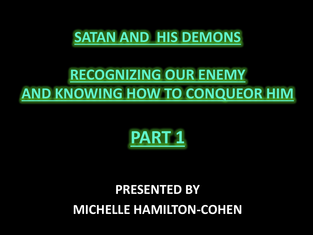

### **RECOGNIZING OUR ENEMY AND KNOWING HOW TO CONQUEOR HIM**



### **PRESENTED BY MICHELLE HAMILTON-COHEN**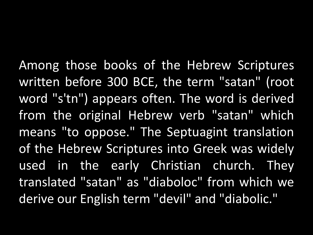Among those books of the Hebrew Scriptures written before 300 BCE, the term "satan" (root word "s'tn") appears often. The word is derived from the original Hebrew verb "satan" which means "to oppose." The Septuagint translation of the Hebrew Scriptures into Greek was widely used in the early Christian church. They translated "satan" as "diaboloc" from which we derive our English term "devil" and "diabolic."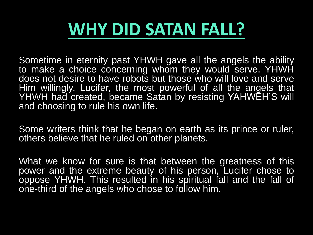## **WHY DID SATAN FALL?**

Sometime in eternity past YHWH gave all the angels the ability to make a choice concerning whom they would serve. YHWH does not desire to have robots but those who will love and serve Him willingly. Lucifer, the most powerful of all the angels that YHWH had created, became Satan by resisting YAHWEH'S will and choosing to rule his own life.

Some writers think that he began on earth as its prince or ruler, others believe that he ruled on other planets.

What we know for sure is that between the greatness of this power and the extreme beauty of his person, Lucifer chose to oppose YHWH. This resulted in his spiritual fall and the fall of one-third of the angels who chose to follow him.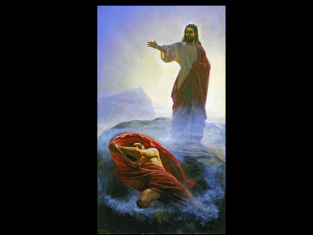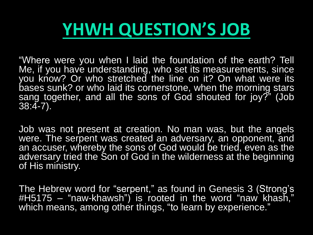# **YHWH QUESTION'S JOB**

"Where were you when I laid the foundation of the earth? Tell Me, if you have understanding, who set its measurements, since you know? Or who stretched the line on it? On what were its bases sunk? or who laid its cornerstone, when the morning stars sang together, and all the sons of God shouted for joy?" (Job 38:4-7).

Job was not present at creation. No man was, but the angels were. The serpent was created an adversary, an opponent, and an accuser, whereby the sons of God would be tried, even as the adversary tried the Son of God in the wilderness at the beginning of His ministry.

The Hebrew word for "serpent," as found in Genesis 3 (Strong's #H5175 – "naw-khawsh") is rooted in the word "naw khash," which means, among other things, "to learn by experience."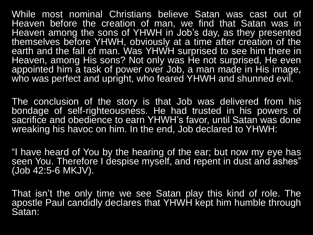While most nominal Christians believe Satan was cast out of Heaven before the creation of man, we find that Satan was in Heaven among the sons of YHWH in Job's day, as they presented themselves before YHWH, obviously at a time after creation of the earth and the fall of man. Was YHWH surprised to see him there in Heaven, among His sons? Not only was He not surprised, He even appointed him a task of power over Job, a man made in His image, who was perfect and upright, who feared YHWH and shunned evil.

The conclusion of the story is that Job was delivered from his bondage of self-righteousness. He had trusted in his powers of sacrifice and obedience to earn YHWH's favor, until Satan was done wreaking his havoc on him. In the end, Job declared to YHWH:

"I have heard of You by the hearing of the ear; but now my eye has seen You. Therefore I despise myself, and repent in dust and ashes" (Job 42:5-6 MKJV).

That isn't the only time we see Satan play this kind of role. The apostle Paul candidly declares that YHWH kept him humble through Satan: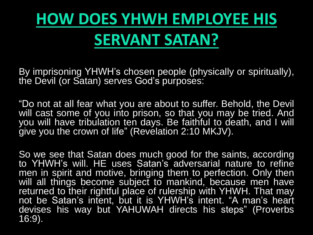## **HOW DOES YHWH EMPLOYEE HIS SERVANT SATAN?**

By imprisoning YHWH's chosen people (physically or spiritually), the Devil (or Satan) serves God's purposes:

"Do not at all fear what you are about to suffer. Behold, the Devil will cast some of you into prison, so that you may be tried. And you will have tribulation ten days. Be faithful to death, and I will give you the crown of life" (Revelation 2:10 MKJV).

So we see that Satan does much good for the saints, according to YHWH's will. HE uses Satan's adversarial nature to refine men in spirit and motive, bringing them to perfection. Only then will all things become subject to mankind, because men have returned to their rightful place of rulership with YHWH. That may not be Satan's intent, but it is YHWH's intent. "A man's heart devises his way but YAHUWAH directs his steps" (Proverbs 16:9).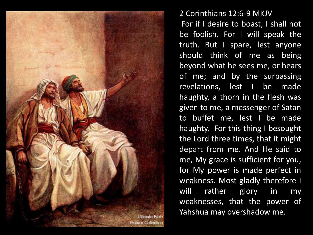

#### 2 Corinthians 12:6-9 MKJV

For if I desire to boast, I shall not be foolish. For I will speak the truth. But I spare, lest anyone should think of me as being beyond what he sees me, or hears of me; and by the surpassing revelations, lest I be made haughty, a thorn in the flesh was given to me, a messenger of Satan to buffet me, lest I be made haughty. For this thing I besought the Lord three times, that it might depart from me. And He said to me, My grace is sufficient for you, for My power is made perfect in weakness. Most gladly therefore I will rather glory in my weaknesses, that the power of Yahshua may overshadow me.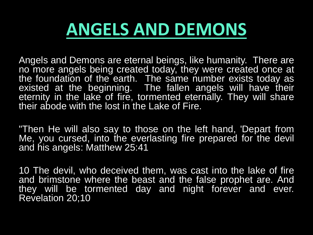## **ANGELS AND DEMONS**

Angels and Demons are eternal beings, like humanity. There are no more angels being created today, they were created once at the foundation of the earth. The same number exists today as existed at the beginning. The fallen angels will have their eternity in the lake of fire, tormented eternally. They will share their abode with the lost in the Lake of Fire.

"Then He will also say to those on the left hand, 'Depart from Me, you cursed, into the everlasting fire prepared for the devil and his angels: Matthew 25:41

10 The devil, who deceived them, was cast into the lake of fire and brimstone where the beast and the false prophet are. And they will be tormented day and night forever and ever. Revelation 20;10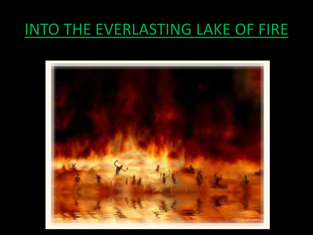### INTO THE EVERLASTING LAKE OF FIRE

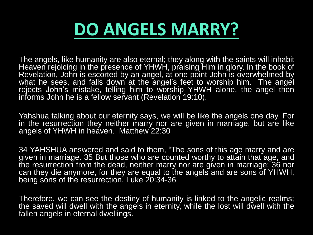

The angels, like humanity are also eternal; they along with the saints will inhabit Heaven rejoicing in the presence of YHWH, praising Him in glory. In the book of Revelation, John is escorted by an angel, at one point John is overwhelmed by what he sees, and falls down at the angel's feet to worship him. The angel rejects John's mistake, telling him to worship YHWH alone, the angel then informs John he is a fellow servant (Revelation 19:10).

Yahshua talking about our eternity says, we will be like the angels one day. For in the resurrection they neither marry nor are given in marriage, but are like angels of YHWH in heaven. Matthew 22:30

34 YAHSHUA answered and said to them, "The sons of this age marry and are given in marriage. 35 But those who are counted worthy to attain that age, and the resurrection from the dead, neither marry nor are given in marriage; 36 nor can they die anymore, for they are equal to the angels and are sons of YHWH, being sons of the resurrection. Luke 20:34-36

Therefore, we can see the destiny of humanity is linked to the angelic realms; the saved will dwell with the angels in eternity, while the lost will dwell with the fallen angels in eternal dwellings.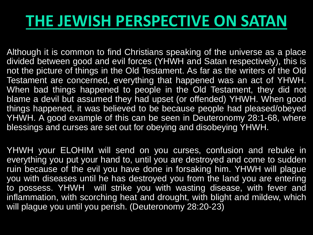### **THE JEWISH PERSPECTIVE ON SATAN**

Although it is common to find Christians speaking of the universe as a place divided between good and evil forces (YHWH and Satan respectively), this is not the picture of things in the Old Testament. As far as the writers of the Old Testament are concerned, everything that happened was an act of YHWH. When bad things happened to people in the Old Testament, they did not blame a devil but assumed they had upset (or offended) YHWH. When good things happened, it was believed to be because people had pleased/obeyed YHWH. A good example of this can be seen in Deuteronomy 28:1-68, where blessings and curses are set out for obeying and disobeying YHWH.

YHWH your ELOHIM will send on you curses, confusion and rebuke in everything you put your hand to, until you are destroyed and come to sudden ruin because of the evil you have done in forsaking him. YHWH will plague you with diseases until he has destroyed you from the land you are entering to possess. YHWH will strike you with wasting disease, with fever and inflammation, with scorching heat and drought, with blight and mildew, which will plague you until you perish. (Deuteronomy 28:20-23)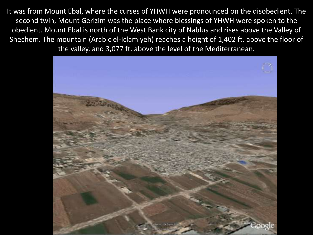It was from Mount Ebal, where the curses of YHWH were pronounced on the disobedient. The second twin, Mount Gerizim was the place where blessings of YHWH were spoken to the obedient. Mount Ebal is north of the West Bank city of Nablus and rises above the Valley of Shechem. The mountain (Arabic el-Iclamiyeh) reaches a height of 1,402 ft. above the floor of the valley, and 3,077 ft. above the level of the Mediterranean.

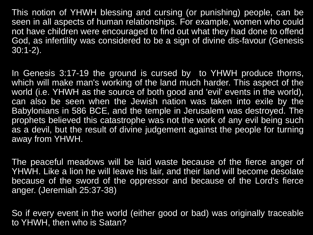This notion of YHWH blessing and cursing (or punishing) people, can be seen in all aspects of human relationships. For example, women who could not have children were encouraged to find out what they had done to offend God, as infertility was considered to be a sign of divine dis-favour (Genesis 30:1-2).

In Genesis 3:17-19 the ground is cursed by to YHWH produce thorns, which will make man's working of the land much harder. This aspect of the world (i.e. YHWH as the source of both good and 'evil' events in the world), can also be seen when the Jewish nation was taken into exile by the Babylonians in 586 BCE, and the temple in Jerusalem was destroyed. The prophets believed this catastrophe was not the work of any evil being such as a devil, but the result of divine judgement against the people for turning away from YHWH.

The peaceful meadows will be laid waste because of the fierce anger of YHWH. Like a lion he will leave his lair, and their land will become desolate because of the sword of the oppressor and because of the Lord's fierce anger. (Jeremiah 25:37-38)

So if every event in the world (either good or bad) was originally traceable to YHWH, then who is Satan?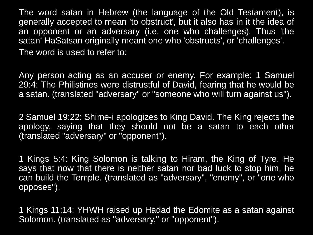The word satan in Hebrew (the language of the Old Testament), is generally accepted to mean 'to obstruct', but it also has in it the idea of an opponent or an adversary (i.e. one who challenges). Thus 'the satan' HaSatsan originally meant one who 'obstructs', or 'challenges'. The word is used to refer to:

Any person acting as an accuser or enemy. For example: 1 Samuel 29:4: The Philistines were distrustful of David, fearing that he would be a satan. (translated "adversary" or "someone who will turn against us").

2 Samuel 19:22: Shime-i apologizes to King David. The King rejects the apology, saying that they should not be a satan to each other (translated "adversary" or "opponent").

1 Kings 5:4: King Solomon is talking to Hiram, the King of Tyre. He says that now that there is neither satan nor bad luck to stop him, he can build the Temple. (translated as "adversary", "enemy", or "one who opposes").

1 Kings 11:14: YHWH raised up Hadad the Edomite as a satan against Solomon. (translated as "adversary," or "opponent").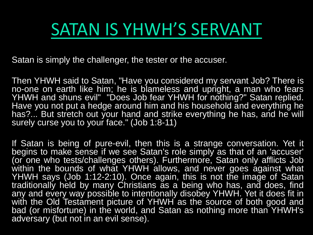### SATAN IS YHWH'S SERVANT

Satan is simply the challenger, the tester or the accuser.

Then YHWH said to Satan, "Have you considered my servant Job? There is no-one on earth like him; he is blameless and upright, a man who fears YHWH and shuns evil" "Does Job fear YHWH for nothing?" Satan replied. Have you not put a hedge around him and his household and everything he has?... But stretch out your hand and strike everything he has, and he will surely curse you to your face." (Job 1:8-11)

If Satan is being of pure-evil, then this is a strange conversation. Yet it begins to make sense if we see Satan's role simply as that of an 'accuser' (or one who tests/challenges others). Furthermore, Satan only afflicts Job within the bounds of what YHWH allows, and never goes against what YHWH says (Job 1:12-2:10). Once again, this is not the image of Satan traditionally held by many Christians as a being who has, and does, find any and every way possible to intentionally disobey YHWH. Yet it does fit in with the Old Testament picture of YHWH as the source of both good and bad (or misfortune) in the world, and Satan as nothing more than YHWH's adversary (but not in an evil sense).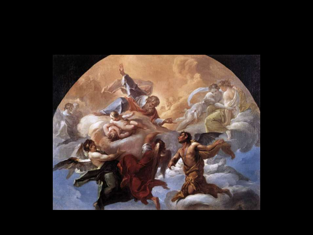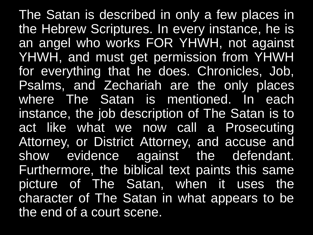The Satan is described in only a few places in the Hebrew Scriptures. In every instance, he is an angel who works FOR YHWH, not against YHWH, and must get permission from YHWH for everything that he does. Chronicles, Job, Psalms, and Zechariah are the only places where The Satan is mentioned. In each instance, the job description of The Satan is to act like what we now call a Prosecuting Attorney, or District Attorney, and accuse and show evidence against the defendant. Furthermore, the biblical text paints this same picture of The Satan, when it uses the character of The Satan in what appears to be the end of a court scene.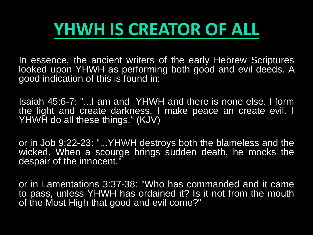## **YHWH IS CREATOR OF ALL**

In essence, the ancient writers of the early Hebrew Scriptures looked upon YHWH as performing both good and evil deeds. A good indication of this is found in:

Isaiah 45:6-7: "...I am and YHWH and there is none else. I form the light and create darkness. I make peace an create evil. I YHWH do all these things." (KJV)

or in Job 9:22-23: "...YHWH destroys both the blameless and the wicked. When a scourge brings sudden death, he mocks the despair of the innocent."

or in Lamentations 3:37-38: "Who has commanded and it came to pass, unless YHWH has ordained it? Is it not from the mouth of the Most High that good and evil come?"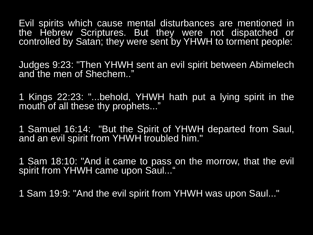Evil spirits which cause mental disturbances are mentioned in the Hebrew Scriptures. But they were not dispatched or controlled by Satan; they were sent by YHWH to torment people:

Judges 9:23: "Then YHWH sent an evil spirit between Abimelech and the men of Shechem.."

1 Kings 22:23: "...behold, YHWH hath put a lying spirit in the mouth of all these thy prophets..."

1 Samuel 16:14: "But the Spirit of YHWH departed from Saul, and an evil spirit from YHWH troubled him."

1 Sam 18:10: "And it came to pass on the morrow, that the evil spirit from YHWH came upon Saul..."

1 Sam 19:9: "And the evil spirit from YHWH was upon Saul..."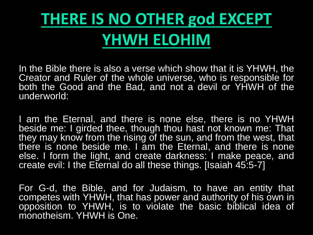### **THERE IS NO OTHER god EXCEPT YHWH ELOHIM**

In the Bible there is also a verse which show that it is YHWH, the Creator and Ruler of the whole universe, who is responsible for both the Good and the Bad, and not a devil or YHWH of the underworld:

I am the Eternal, and there is none else, there is no YHWH beside me: I girded thee, though thou hast not known me: That they may know from the rising of the sun, and from the west, that there is none beside me. I am the Eternal, and there is none else. I form the light, and create darkness: I make peace, and create evil: I the Eternal do all these things. [Isaiah 45:5-7]

For G-d, the Bible, and for Judaism, to have an entity that competes with YHWH, that has power and authority of his own in opposition to YHWH, is to violate the basic biblical idea of monotheism. YHWH is One.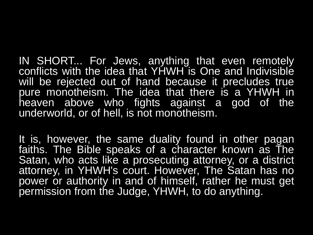IN SHORT... For Jews, anything that even remotely conflicts with the idea that YHWH is One and Indivisible will be rejected out of hand because it precludes true pure monotheism. The idea that there is a YHWH in heaven above who fights against a god of the underworld, or of hell, is not monotheism.

It is, however, the same duality found in other pagan faiths. The Bible speaks of a character known as The Satan, who acts like a prosecuting attorney, or a district attorney, in YHWH's court. However, The Satan has no power or authority in and of himself, rather he must get permission from the Judge, YHWH, to do anything.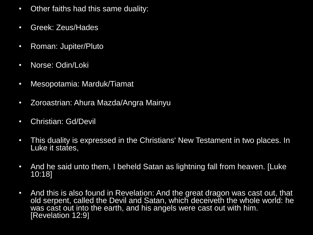- Other faiths had this same duality:
- Greek: Zeus/Hades
- Roman: Jupiter/Pluto
- Norse: Odin/Loki
- Mesopotamia: Marduk/Tiamat
- Zoroastrian: Ahura Mazda/Angra Mainyu
- Christian: Gd/Devil
- This duality is expressed in the Christians' New Testament in two places. In Luke it states,
- And he said unto them, I beheld Satan as lightning fall from heaven. [Luke 10:18]
- And this is also found in Revelation: And the great dragon was cast out, that old serpent, called the Devil and Satan, which deceiveth the whole world: he was cast out into the earth, and his angels were cast out with him. [Revelation 12:9]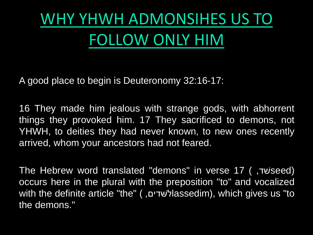# WHY YHWH ADMONSIHES US TO FOLLOW ONLY HIM

A good place to begin is Deuteronomy 32:16-17:

16 They made him jealous with strange gods, with abhorrent things they provoked him. 17 They sacrificed to demons, not YHWH, to deities they had never known, to new ones recently arrived, whom your ancestors had not feared.

The Hebrew word translated "demons" in verse 17 (,דשׂseed) occurs here in the plural with the preposition "to" and vocalized with the definite article "the" (, לשׁדים, lassedim), which gives us "to the demons."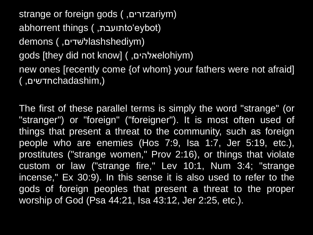```
strange or foreign gods ( ,זריםzariym)
abhorrent things ( ,תועבת, abhorrent things (
demons ( שדים, demons (,ת
gods [they did not know] ( ,אלהיםelohiym)
new ones [recently come {of whom} your fathers were not afraid]
(,chadashimחדשים, )
```
The first of these parallel terms is simply the word "strange" (or "stranger") or "foreign" ("foreigner"). It is most often used of things that present a threat to the community, such as foreign people who are enemies (Hos 7:9, Isa 1:7, Jer 5:19, etc.), prostitutes ("strange women," Prov 2:16), or things that violate custom or law ("strange fire," Lev 10:1, Num 3:4; "strange incense," Ex 30:9). In this sense it is also used to refer to the gods of foreign peoples that present a threat to the proper worship of God (Psa 44:21, Isa 43:12, Jer 2:25, etc.).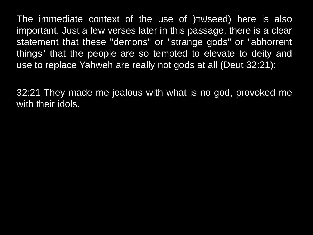The immediate context of the use of )דשוש here is also important. Just a few verses later in this passage, there is a clear statement that these "demons" or "strange gods" or "abhorrent things" that the people are so tempted to elevate to deity and use to replace Yahweh are really not gods at all (Deut 32:21):

32:21 They made me jealous with what is no god, provoked me with their idols.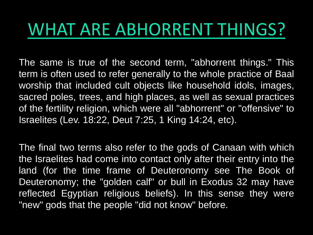### WHAT ARE ABHORRENT THINGS?

The same is true of the second term, "abhorrent things." This term is often used to refer generally to the whole practice of Baal worship that included cult objects like household idols, images, sacred poles, trees, and high places, as well as sexual practices of the fertility religion, which were all "abhorrent" or "offensive" to Israelites (Lev. 18:22, Deut 7:25, 1 King 14:24, etc).

The final two terms also refer to the gods of Canaan with which the Israelites had come into contact only after their entry into the land (for the time frame of Deuteronomy see The Book of Deuteronomy; the "golden calf" or bull in Exodus 32 may have reflected Egyptian religious beliefs). In this sense they were "new" gods that the people "did not know" before.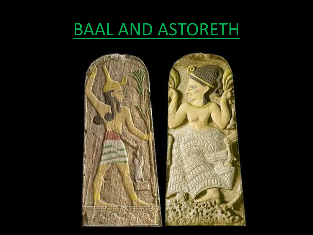# BAAL AND ASTORETH

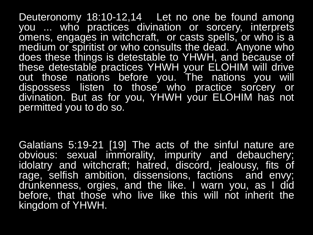Deuteronomy 18:10-12,14 Let no one be found among you ... who practices divination or sorcery, interprets omens, engages in witchcraft, or casts spells, or who is a medium or spiritist or who consults the dead. Anyone who does these things is detestable to YHWH, and because of these detestable practices YHWH your ELOHIM will drive out those nations before you. The nations you will dispossess listen to those who practice sorcery or divination. But as for you, YHWH your ELOHIM has not permitted you to do so.

Galatians 5:19-21 [19] The acts of the sinful nature are obvious: sexual immorality, impurity and debauchery; idolatry and witchcraft; hatred, discord, jealousy, fits of rage, selfish ambition, dissensions, factions and envy; drunkenness, orgies, and the like. I warn you, as I did before, that those who live like this will not inherit the kingdom of YHWH.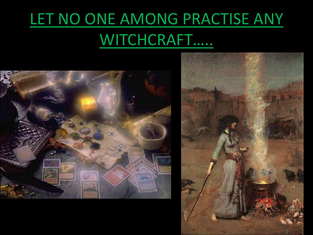## LET NO ONE AMONG PRACTISE ANY WITCHCRAFT…..



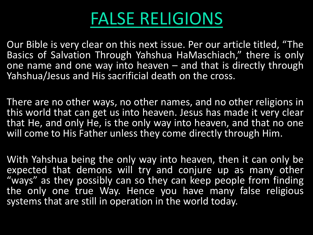## FALSE RELIGIONS

Our Bible is very clear on this next issue. Per our article titled, "The Basics of Salvation Through Yahshua HaMaschiach," there is only one name and one way into heaven – and that is directly through Yahshua/Jesus and His sacrificial death on the cross.

There are no other ways, no other names, and no other religions in this world that can get us into heaven. Jesus has made it very clear that He, and only He, is the only way into heaven, and that no one will come to His Father unless they come directly through Him.

With Yahshua being the only way into heaven, then it can only be expected that demons will try and conjure up as many other "ways" as they possibly can so they can keep people from finding the only one true Way. Hence you have many false religious systems that are still in operation in the world today.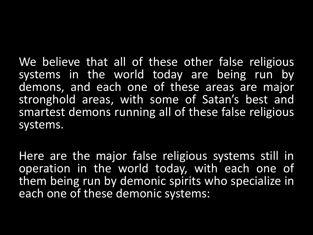We believe that all of these other false religious systems in the world today are being run by demons, and each one of these areas are major stronghold areas, with some of Satan's best and smartest demons running all of these false religious systems.

Here are the major false religious systems still in operation in the world today, with each one of them being run by demonic spirits who specialize in each one of these demonic systems: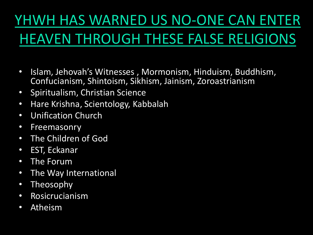### YHWH HAS WARNED US NO-ONE CAN ENTER HEAVEN THROUGH THESE FALSE RELIGIONS

- Islam, Jehovah's Witnesses , Mormonism, Hinduism, Buddhism, Confucianism, Shintoism, Sikhism, Jainism, Zoroastrianism
- Spiritualism, Christian Science
- Hare Krishna, Scientology, Kabbalah
- Unification Church
- Freemasonry
- The Children of God
- EST, Eckanar
- The Forum
- The Way International
- Theosophy
- Rosicrucianism
- Atheism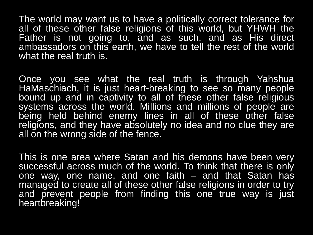The world may want us to have a politically correct tolerance for all of these other false religions of this world, but YHWH the Father is not going to, and as such, and as His direct ambassadors on this earth, we have to tell the rest of the world what the real truth is.

Once you see what the real truth is through Yahshua HaMaschiach, it is just heart-breaking to see so many people bound up and in captivity to all of these other false religious systems across the world. Millions and millions of people are being held behind enemy lines in all of these other false religions, and they have absolutely no idea and no clue they are all on the wrong side of the fence.

This is one area where Satan and his demons have been very successful across much of the world. To think that there is only one way, one name, and one faith – and that Satan has managed to create all of these other false religions in order to try and prevent people from finding this one true way is just heartbreaking!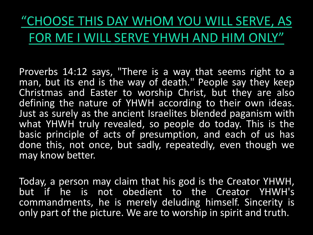### "CHOOSE THIS DAY WHOM YOU WILL SERVE, AS FOR ME I WILL SERVE YHWH AND HIM ONLY"

Proverbs 14:12 says, "There is a way that seems right to a man, but its end is the way of death." People say they keep Christmas and Easter to worship Christ, but they are also defining the nature of YHWH according to their own ideas. Just as surely as the ancient Israelites blended paganism with what YHWH truly revealed, so people do today. This is the basic principle of acts of presumption, and each of us has done this, not once, but sadly, repeatedly, even though we may know better.

Today, a person may claim that his god is the Creator YHWH, but if he is not obedient to the Creator YHWH's commandments, he is merely deluding himself. Sincerity is only part of the picture. We are to worship in spirit and truth.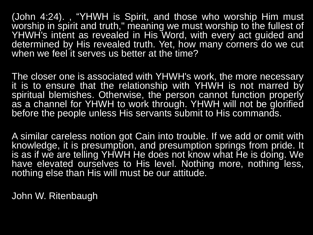(John 4:24). , "YHWH is Spirit, and those who worship Him must worship in spirit and truth," meaning we must worship to the fullest of YHWH's intent as revealed in His Word, with every act guided and determined by His revealed truth. Yet, how many corners do we cut when we feel it serves us better at the time?

The closer one is associated with YHWH's work, the more necessary it is to ensure that the relationship with YHWH is not marred by spiritual blemishes. Otherwise, the person cannot function properly as a channel for YHWH to work through. YHWH will not be glorified before the people unless His servants submit to His commands.

A similar careless notion got Cain into trouble. If we add or omit with knowledge, it is presumption, and presumption springs from pride. It is as if we are telling YHWH He does not know what He is doing. We have elevated ourselves to His level. Nothing more, nothing less, nothing else than His will must be our attitude.

John W. Ritenbaugh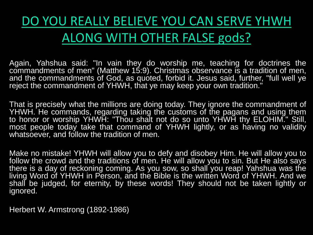### DO YOU REALLY BELIEVE YOU CAN SERVE YHWH ALONG WITH OTHER FALSE gods?

Again, Yahshua said: "In vain they do worship me, teaching for doctrines the commandments of men" (Matthew 15:9). Christmas observance is a tradition of men, and the commandments of God, as quoted, forbid it. Jesus said, further, "full well ye reject the commandment of YHWH, that ye may keep your own tradition."

That is precisely what the millions are doing today. They ignore the commandment of YHWH. He commands, regarding taking the customs of the pagans and using them to honor or worship YHWH: "Thou shalt not do so unto YHWH thy ELOHIM." Still, most people today take that command of YHWH lightly, or as having no validity whatsoever, and follow the tradition of men.

Make no mistake! YHWH will allow you to defy and disobey Him. He will allow you to follow the crowd and the traditions of men. He will allow you to sin. But He also says there is a day of reckoning coming. As you sow, so shall you reap! Yahshua was the living Word of YHWH in Person, and the Bible is the written Word of YHWH. And we shall be judged, for eternity, by these words! They should not be taken lightly or ignored.

Herbert W. Armstrong (1892-1986)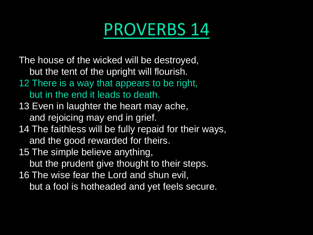### PROVERBS 14

The house of the wicked will be destroyed, but the tent of the upright will flourish. 12 There is a way that appears to be right, but in the end it leads to death. 13 Even in laughter the heart may ache, and rejoicing may end in grief. 14 The faithless will be fully repaid for their ways, and the good rewarded for theirs. 15 The simple believe anything, but the prudent give thought to their steps. 16 The wise fear the Lord and shun evil, but a fool is hotheaded and yet feels secure.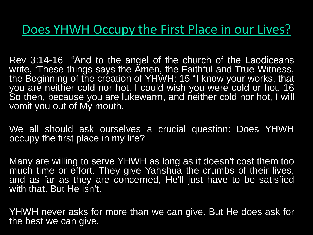#### Does YHWH Occupy the First Place in our Lives?

Rev 3:14-16 "And to the angel of the church of the Laodiceans write, 'These things says the Amen, the Faithful and True Witness, the Beginning of the creation of YHWH: 15 "I know your works, that you are neither cold nor hot. I could wish you were cold or hot. 16 So then, because you are lukewarm, and neither cold nor hot, I will vomit you out of My mouth.

We all should ask ourselves a crucial question: Does YHWH occupy the first place in my life?

Many are willing to serve YHWH as long as it doesn't cost them too much time or effort. They give Yahshua the crumbs of their lives, and as far as they are concerned, He'll just have to be satisfied with that. But He isn't.

YHWH never asks for more than we can give. But He does ask for the best we can give.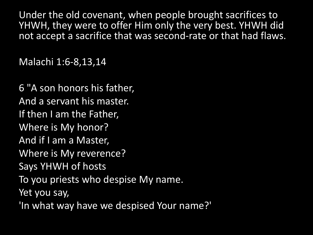Under the old covenant, when people brought sacrifices to YHWH, they were to offer Him only the very best. YHWH did not accept a sacrifice that was second-rate or that had flaws.

Malachi 1:6-8,13,14

6 "A son honors his father, And a servant his master. If then I am the Father, Where is My honor? And if I am a Master, Where is My reverence? Says YHWH of hosts To you priests who despise My name. Yet you say, 'In what way have we despised Your name?'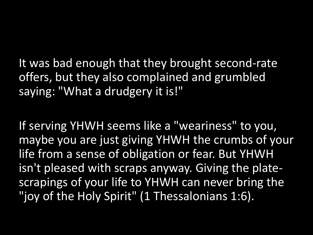It was bad enough that they brought second-rate offers, but they also complained and grumbled saying: "What a drudgery it is!"

If serving YHWH seems like a "weariness" to you, maybe you are just giving YHWH the crumbs of your life from a sense of obligation or fear. But YHWH isn't pleased with scraps anyway. Giving the platescrapings of your life to YHWH can never bring the "joy of the Holy Spirit" (1 Thessalonians 1:6).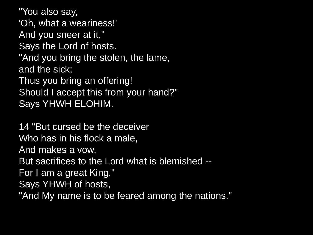"You also say, 'Oh, what a weariness!' And you sneer at it," Says the Lord of hosts. "And you bring the stolen, the lame, and the sick; Thus you bring an offering! Should I accept this from your hand?" Says YHWH ELOHIM.

14 "But cursed be the deceiver Who has in his flock a male, And makes a vow, But sacrifices to the Lord what is blemished -- For I am a great King," Says YHWH of hosts, "And My name is to be feared among the nations."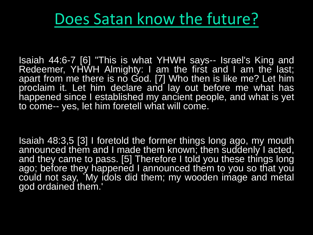### Does Satan know the future?

Isaiah 44:6-7 [6] "This is what YHWH says-- Israel's King and Redeemer, YHWH Almighty: I am the first and I am the last; apart from me there is no God. [7] Who then is like me? Let him proclaim it. Let him declare and lay out before me what has happened since I established my ancient people, and what is yet to come-- yes, let him foretell what will come.

Isaiah 48:3,5 [3] I foretold the former things long ago, my mouth announced them and I made them known; then suddenly I acted, and they came to pass. [5] Therefore I told you these things long ago; before they happened I announced them to you so that you could not say, `My idols did them; my wooden image and metal god ordained them.'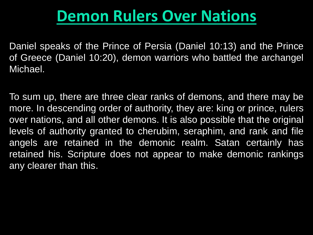### **Demon Rulers Over Nations**

Daniel speaks of the Prince of Persia (Daniel 10:13) and the Prince of Greece (Daniel 10:20), demon warriors who battled the archangel Michael.

To sum up, there are three clear ranks of demons, and there may be more. In descending order of authority, they are: king or prince, rulers over nations, and all other demons. It is also possible that the original levels of authority granted to cherubim, seraphim, and rank and file angels are retained in the demonic realm. Satan certainly has retained his. Scripture does not appear to make demonic rankings any clearer than this.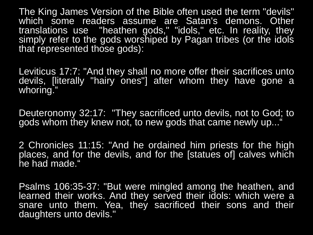The King James Version of the Bible often used the term "devils" which some readers assume are Satan's demons. Other translations use "heathen gods," "idols," etc. In reality, they simply refer to the gods worshiped by Pagan tribes (or the idols that represented those gods):

Leviticus 17:7: "And they shall no more offer their sacrifices unto devils, [literally "hairy ones"] after whom they have gone a whoring."

Deuteronomy 32:17: "They sacrificed unto devils, not to God; to gods whom they knew not, to new gods that came newly up...

2 Chronicles 11:15: "And he ordained him priests for the high places, and for the devils, and for the [statues of] calves which he had made."

Psalms 106:35-37: "But were mingled among the heathen, and learned their works. And they served their idols: which were a snare unto them. Yea, they sacrificed their sons and their daughters unto devils."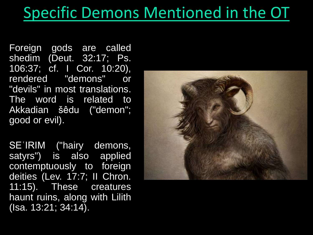### Specific Demons Mentioned in the OT

Foreign gods are called shedim (Deut. 32:17; Ps. 106:37; cf. I Cor. 10:20), rendered "demons" or "devils" in most translations. The word is related to Akkadian šêdu ("demon"; good or evil).

SE'IRIM ("hairy demons, satyrs") is also applied contemptuously to foreign deities (Lev. 17:7; Il Chron. 11:15). These creatures haunt ruins, along with Lilith (Isa. 13:21; 34:14).

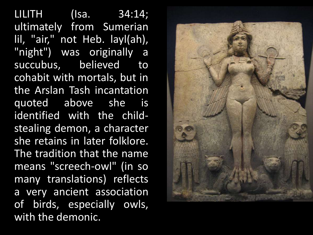LILITH (Isa. 34:14; ultimately from Sumerian lil, "air," not Heb. layl(ah), "night") was originally a succubus, believed to cohabit with mortals, but in the Arslan Tash incantation quoted above she is identified with the childstealing demon, a character she retains in later folklore. The tradition that the name means "screech-owl" (in so many translations) reflects a very ancient association of birds, especially owls, with the demonic.

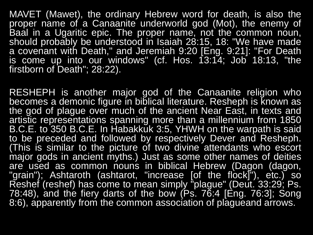MAVET (Mawet), the ordinary Hebrew word for death, is also the proper name of a Canaanite underworld god (Mot), the enemy of Baal in a Ugaritic epic. The proper name, not the common noun, should probably be understood in Isaiah 28:15, 18: "We have made a covenant with Death," and Jeremiah 9:20 [Eng. 9:21]: "For Death is come up into our windows" (cf. Hos. 13:14; Job 18:13, "the firstborn of Death"; 28:22).

RESHEPH is another major god of the Canaanite religion who becomes a demonic figure in biblical literature. Resheph is known as the god of plague over much of the ancient Near East, in texts and artistic representations spanning more than a millennium from 1850 B.C.E. to 350 B.C.E. In Habakkuk 3:5, YHWH on the warpath is said to be preceded and followed by respectively Dever and Resheph. (This is similar to the picture of two divine attendants who escort major gods in ancient myths.) Just as some other names of deities are used as common nouns in biblical Hebrew (Dagon (dagon, "grain"); Ashtaroth (ashtarot, "increase [of the flock]"), etc.) so Reshef (reshef) has come to mean simply "plague" (Deut. 33:29; Ps. 78:48), and the fiery darts of the bow (Ps. 76:4 [Eng. 76:3]; Song 8:6), apparently from the common association of plagueand arrows.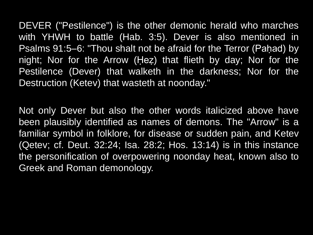DEVER ("Pestilence") is the other demonic herald who marches with YHWH to battle (Hab. 3:5). Dever is also mentioned in Psalms 91:5–6: "Thou shalt not be afraid for the Terror (Paḥad) by night; Nor for the Arrow (Ḥeẓ) that flieth by day; Nor for the Pestilence (Dever) that walketh in the darkness; Nor for the Destruction (Ketev) that wasteth at noonday."

Not only Dever but also the other words italicized above have been plausibly identified as names of demons. The "Arrow" is a familiar symbol in folklore, for disease or sudden pain, and Ketev (Qetev; cf. Deut. 32:24; Isa. 28:2; Hos. 13:14) is in this instance the personification of overpowering noonday heat, known also to Greek and Roman demonology.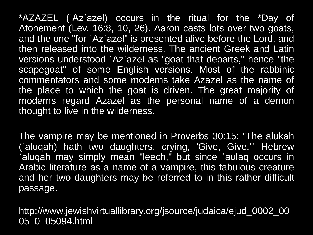\*AZAZEL (ʿAzʾazel) occurs in the ritual for the \*Day of Atonement (Lev. 16:8, 10, 26). Aaron casts lots over two goats, and the one "for ʿAzʾazel" is presented alive before the Lord, and then released into the wilderness. The ancient Greek and Latin versions understood ʿAzʾazel as "goat that departs," hence "the scapegoat" of some English versions. Most of the rabbinic commentators and some moderns take Azazel as the name of the place to which the goat is driven. The great majority of moderns regard Azazel as the personal name of a demon thought to live in the wilderness.

The vampire may be mentioned in Proverbs 30:15: "The alukah (ʿaluqah) hath two daughters, crying, 'Give, Give.'" Hebrew ʿaluqah may simply mean "leech," but since ʿaulaq occurs in Arabic literature as a name of a vampire, this fabulous creature and her two daughters may be referred to in this rather difficult passage.

http://www.jewishvirtuallibrary.org/jsource/judaica/ejud\_0002\_00 05\_0\_05094.html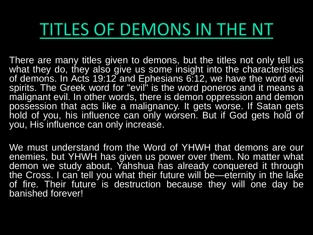### TITLES OF DEMONS IN THE NT

There are many titles given to demons, but the titles not only tell us what they do, they also give us some insight into the characteristics of demons. In Acts 19:12 and Ephesians 6:12, we have the word evil spirits. The Greek word for "evil" is the word poneros and it means a malignant evil. In other words, there is demon oppression and demon possession that acts like a malignancy. It gets worse. If Satan gets hold of you, his influence can only worsen. But if God gets hold of you, His influence can only increase.

We must understand from the Word of YHWH that demons are our enemies, but YHWH has given us power over them. No matter what demon we study about, Yahshua has already conquered it through the Cross. I can tell you what their future will be—eternity in the lake of fire. Their future is destruction because they will one day be banished forever!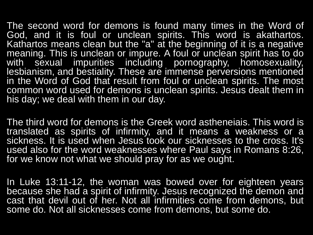The second word for demons is found many times in the Word of God, and it is foul or unclean spirits. This word is akathartos. Kathartos means clean but the "a" at the beginning of it is a negative meaning. This is unclean or impure. A foul or unclean spirit has to do with sexual impurities including pornography, homosexuality, lesbianism, and bestiality. These are immense perversions mentioned in the Word of God that result from foul or unclean spirits. The most common word used for demons is unclean spirits. Jesus dealt them in his day; we deal with them in our day.

The third word for demons is the Greek word astheneiais. This word is translated as spirits of infirmity, and it means a weakness or a sickness. It is used when Jesus took our sicknesses to the cross. It's used also for the word weaknesses where Paul says in Romans 8:26, for we know not what we should pray for as we ought.

In Luke 13:11-12, the woman was bowed over for eighteen years because she had a spirit of infirmity. Jesus recognized the demon and cast that devil out of her. Not all infirmities come from demons, but some do. Not all sicknesses come from demons, but some do.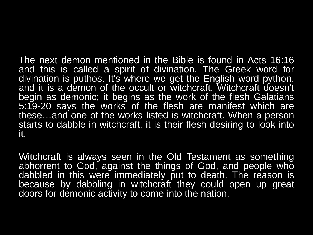The next demon mentioned in the Bible is found in Acts 16:16 and this is called a spirit of divination. The Greek word for divination is puthos. It's where we get the English word python, and it is a demon of the occult or witchcraft. Witchcraft doesn't begin as demonic; it begins as the work of the flesh Galatians 5:19-20 says the works of the flesh are manifest which are these…and one of the works listed is witchcraft. When a person starts to dabble in witchcraft, it is their flesh desiring to look into it.

Witchcraft is always seen in the Old Testament as something abhorrent to God, against the things of God, and people who dabbled in this were immediately put to death. The reason is because by dabbling in witchcraft they could open up great doors for demonic activity to come into the nation.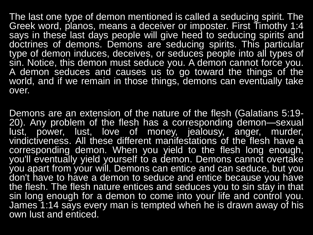The last one type of demon mentioned is called a seducing spirit. The Greek word, planos, means a deceiver or imposter. First Timothy 1:4 says in these last days people will give heed to seducing spirits and doctrines of demons. Demons are seducing spirits. This particular type of demon induces, deceives, or seduces people into all types of sin. Notice, this demon must seduce you. A demon cannot force you. A demon seduces and causes us to go toward the things of the world, and if we remain in those things, demons can eventually take over.

Demons are an extension of the nature of the flesh (Galatians 5:19- 20). Any problem of the flesh has a corresponding demon—sexual lust, power, lust, love of money, jealousy, anger, murder, vindictiveness. All these different manifestations of the flesh have a corresponding demon. When you yield to the flesh long enough, you'll eventually yield yourself to a demon. Demons cannot overtake you apart from your will. Demons can entice and can seduce, but you don't have to have a demon to seduce and entice because you have the flesh. The flesh nature entices and seduces you to sin stay in that sin long enough for a demon to come into your life and control you. James 1:14 says every man is tempted when he is drawn away of his own lust and enticed.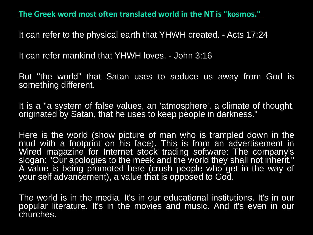**The Greek word most often translated world in the NT is "kosmos."**

It can refer to the physical earth that YHWH created. - Acts 17:24

It can refer mankind that YHWH loves. - John 3:16

But "the world" that Satan uses to seduce us away from God is something different.

It is a "a system of false values, an 'atmosphere', a climate of thought, originated by Satan, that he uses to keep people in darkness."

Here is the world (show picture of man who is trampled down in the mud with a footprint on his face). This is from an advertisement in Wired magazine for Internet stock trading software: The company's slogan: "Our apologies to the meek and the world they shall not inherit." A value is being promoted here (crush people who get in the way of your self advancement), a value that is opposed to God.

The world is in the media. It's in our educational institutions. It's in our popular literature. It's in the movies and music. And it's even in our churches.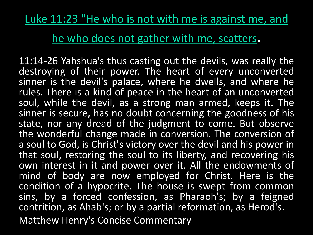#### Luke 11:23 "He who is not with me is against me, and

#### he who does not gather with me, scatters.

11:14-26 Yahshua's thus casting out the devils, was really the destroying of their power. The heart of every unconverted sinner is the devil's palace, where he dwells, and where he rules. There is a kind of peace in the heart of an unconverted soul, while the devil, as a strong man armed, keeps it. The sinner is secure, has no doubt concerning the goodness of his state, nor any dread of the judgment to come. But observe the wonderful change made in conversion. The conversion of a soul to God, is Christ's victory over the devil and his power in that soul, restoring the soul to its liberty, and recovering his own interest in it and power over it. All the endowments of mind of body are now employed for Christ. Here is the condition of a hypocrite. The house is swept from common sins, by a forced confession, as Pharaoh's; by a feigned contrition, as Ahab's; or by a partial reformation, as Herod's. Matthew Henry's Concise Commentary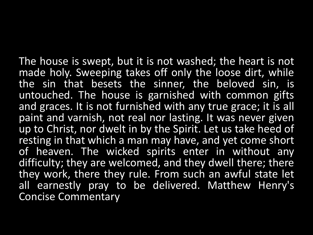The house is swept, but it is not washed; the heart is not made holy. Sweeping takes off only the loose dirt, while the sin that besets the sinner, the beloved sin, is untouched. The house is garnished with common gifts and graces. It is not furnished with any true grace; it is all paint and varnish, not real nor lasting. It was never given up to Christ, nor dwelt in by the Spirit. Let us take heed of resting in that which a man may have, and yet come short of heaven. The wicked spirits enter in without any difficulty; they are welcomed, and they dwell there; there they work, there they rule. From such an awful state let all earnestly pray to be delivered. Matthew Henry's Concise Commentary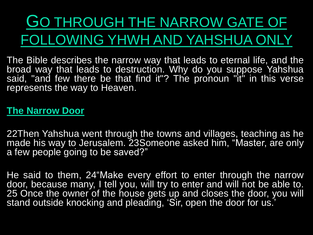### GO THROUGH THE NARROW GATE OF FOLLOWING YHWH AND YAHSHUA ONLY

The Bible describes the narrow way that leads to eternal life, and the broad way that leads to destruction. Why do you suppose Yahshua said, "and few there be that find it"? The pronoun "it" in this verse represents the way to Heaven.

#### **The Narrow Door**

22Then Yahshua went through the towns and villages, teaching as he made his way to Jerusalem. 23Someone asked him, "Master, are only a few people going to be saved?"

He said to them, 24"Make every effort to enter through the narrow door, because many, I tell you, will try to enter and will not be able to. 25 Once the owner of the house gets up and closes the door, you will stand outside knocking and pleading, 'Sir, open the door for us.'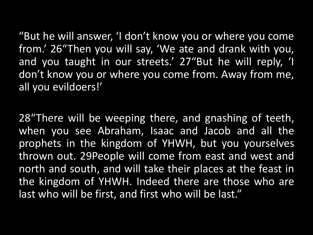"But he will answer, 'I don't know you or where you come from.' 26"Then you will say, 'We ate and drank with you, and you taught in our streets.' 27"But he will reply, 'I don't know you or where you come from. Away from me, all you evildoers!'

28"There will be weeping there, and gnashing of teeth, when you see Abraham, Isaac and Jacob and all the prophets in the kingdom of YHWH, but you yourselves thrown out. 29People will come from east and west and north and south, and will take their places at the feast in the kingdom of YHWH. Indeed there are those who are last who will be first, and first who will be last."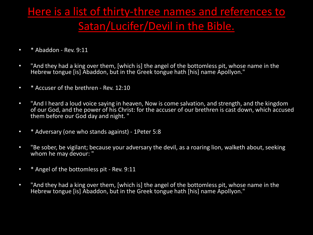#### Here is a list of thirty-three names and references to Satan/Lucifer/Devil in the Bible.

- \* Abaddon Rev. 9:11
- "And they had a king over them, [which is] the angel of the bottomless pit, whose name in the Hebrew tongue [is] Abaddon, but in the Greek tongue hath [his] name Apollyon."
- \* Accuser of the brethren Rev. 12:10
- "And I heard a loud voice saying in heaven, Now is come salvation, and strength, and the kingdom of our God, and the power of his Christ: for the accuser of our brethren is cast down, which accused them before our God day and night. "
- \* Adversary (one who stands against) 1Peter 5:8
- "Be sober, be vigilant; because your adversary the devil, as a roaring lion, walketh about, seeking whom he may devour: "
- \* Angel of the bottomless pit Rev. 9:11
- "And they had a king over them, [which is] the angel of the bottomless pit, whose name in the Hebrew tongue [is] Abaddon, but in the Greek tongue hath [his] name Apollyon."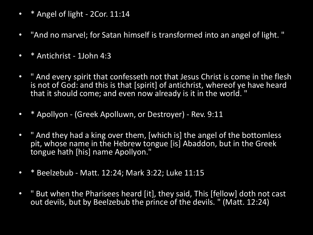- \* Angel of light 2Cor. 11:14
- "And no marvel; for Satan himself is transformed into an angel of light. "
- \* Antichrist 1John 4:3
- " And every spirit that confesseth not that Jesus Christ is come in the flesh is not of God: and this is that [spirit] of antichrist, whereof ye have heard that it should come; and even now already is it in the world. "
- \* Apollyon (Greek Apolluwn, or Destroyer) Rev. 9:11
- " And they had a king over them, [which is] the angel of the bottomless pit, whose name in the Hebrew tongue [is] Abaddon, but in the Greek tongue hath [his] name Apollyon."
- \* Beelzebub Matt. 12:24; Mark 3:22; Luke 11:15
- " But when the Pharisees heard [it], they said, This [fellow] doth not cast out devils, but by Beelzebub the prince of the devils. " (Matt. 12:24)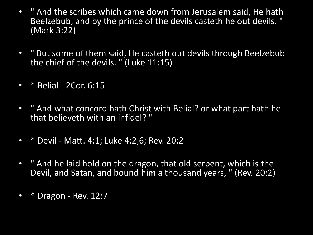- " And the scribes which came down from Jerusalem said, He hath Beelzebub, and by the prince of the devils casteth he out devils. " (Mark 3:22)
- " But some of them said, He casteth out devils through Beelzebub the chief of the devils. " (Luke 11:15)
- \* Belial 2Cor. 6:15
- " And what concord hath Christ with Belial? or what part hath he that believeth with an infidel? "
- \* Devil Matt. 4:1; Luke 4:2,6; Rev. 20:2
- " And he laid hold on the dragon, that old serpent, which is the Devil, and Satan, and bound him a thousand years, " (Rev. 20:2)
- \* Dragon Rev. 12:7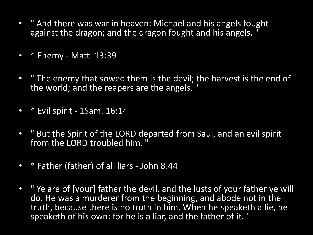- " And there was war in heaven: Michael and his angels fought against the dragon; and the dragon fought and his angels,
- \* Enemy Matt. 13:39
- " The enemy that sowed them is the devil; the harvest is the end of the world; and the reapers are the angels. "
- \* Evil spirit 1Sam. 16:14
- " But the Spirit of the LORD departed from Saul, and an evil spirit from the LORD troubled him. "
- \* Father (father) of all liars John 8:44
- " Ye are of [your] father the devil, and the lusts of your father ye will do. He was a murderer from the beginning, and abode not in the truth, because there is no truth in him. When he speaketh a lie, he speaketh of his own: for he is a liar, and the father of it. "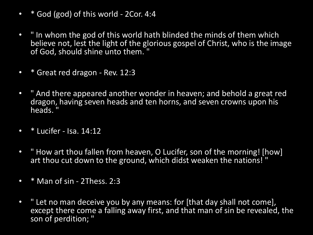- \* God (god) of this world 2Cor. 4:4
- " In whom the god of this world hath blinded the minds of them which believe not, lest the light of the glorious gospel of Christ, who is the image of God, should shine unto them. "
- \* Great red dragon Rev. 12:3
- " And there appeared another wonder in heaven; and behold a great red dragon, having seven heads and ten horns, and seven crowns upon his heads. "
- \* Lucifer Isa. 14:12
- " How art thou fallen from heaven, O Lucifer, son of the morning! [how] art thou cut down to the ground, which didst weaken the nations! "
- \* Man of sin 2Thess. 2:3
- " Let no man deceive you by any means: for [that day shall not come], except there come a falling away first, and that man of sin be revealed, the son of perdition; "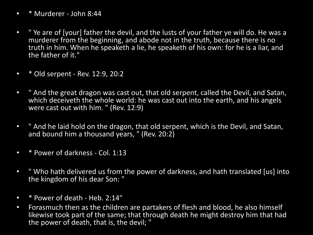- \* Murderer John 8:44
- " Ye are of [your] father the devil, and the lusts of your father ye will do. He was a murderer from the beginning, and abode not in the truth, because there is no truth in him. When he speaketh a lie, he speaketh of his own: for he is a liar, and the father of it."
- \* Old serpent Rev. 12:9, 20:2
- " And the great dragon was cast out, that old serpent, called the Devil, and Satan, which deceiveth the whole world: he was cast out into the earth, and his angels were cast out with him. " (Rev. 12:9)
- " And he laid hold on the dragon, that old serpent, which is the Devil, and Satan, and bound him a thousand years, " (Rev. 20:2)
- \* Power of darkness Col. 1:13
- " Who hath delivered us from the power of darkness, and hath translated [us] into the kingdom of his dear Son: "
- \* Power of death Heb. 2:14"
- Forasmuch then as the children are partakers of flesh and blood, he also himself likewise took part of the same; that through death he might destroy him that had the power of death, that is, the devil; "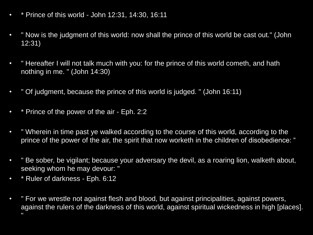- \* Prince of this world John 12:31, 14:30, 16:11
- " Now is the judgment of this world: now shall the prince of this world be cast out." (John 12:31)
- " Hereafter I will not talk much with you: for the prince of this world cometh, and hath nothing in me. " (John 14:30)
- " Of judgment, because the prince of this world is judged. " (John 16:11)
- \* Prince of the power of the air Eph. 2:2
- " Wherein in time past ye walked according to the course of this world, according to the prince of the power of the air, the spirit that now worketh in the children of disobedience: "
- " Be sober, be vigilant; because your adversary the devil, as a roaring lion, walketh about, seeking whom he may devour: "
- \* Ruler of darkness Eph. 6:12
- " For we wrestle not against flesh and blood, but against principalities, against powers, against the rulers of the darkness of this world, against spiritual wickedness in high [places]. "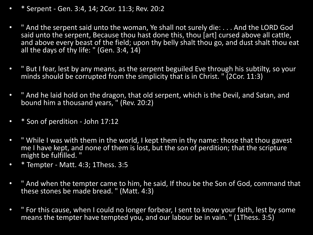- \* Serpent Gen. 3:4, 14; 2Cor. 11:3; Rev. 20:2
- " And the serpent said unto the woman, Ye shall not surely die: . . . And the LORD God said unto the serpent, Because thou hast done this, thou [art] cursed above all cattle, and above every beast of the field; upon thy belly shalt thou go, and dust shalt thou eat all the days of thy life: " (Gen. 3:4, 14)
- " But I fear, lest by any means, as the serpent beguiled Eve through his subtilty, so your minds should be corrupted from the simplicity that is in Christ. " (2Cor. 11:3)
- " And he laid hold on the dragon, that old serpent, which is the Devil, and Satan, and bound him a thousand years, " (Rev. 20:2)
- \* Son of perdition John 17:12
- "While I was with them in the world, I kept them in thy name: those that thou gavest me I have kept, and none of them is lost, but the son of perdition; that the scripture might be fulfilled. "
- \* Tempter Matt. 4:3; 1Thess. 3:5
- " And when the tempter came to him, he said, If thou be the Son of God, command that these stones be made bread. " (Matt. 4:3)
- " For this cause, when I could no longer forbear, I sent to know your faith, lest by some means the tempter have tempted you, and our labour be in vain. " (1Thess. 3:5)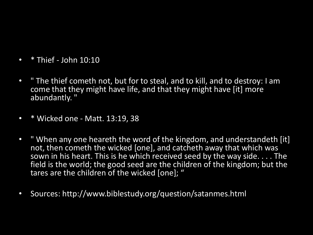- \* Thief John 10:10
- " The thief cometh not, but for to steal, and to kill, and to destroy: I am come that they might have life, and that they might have [it] more abundantly. "
- \* Wicked one Matt. 13:19, 38
- " When any one heareth the word of the kingdom, and understandeth [it] not, then cometh the wicked [one], and catcheth away that which was sown in his heart. This is he which received seed by the way side. . . . The field is the world; the good seed are the children of the kingdom; but the tares are the children of the wicked [one]; "
- Sources: http://www.biblestudy.org/question/satanmes.html